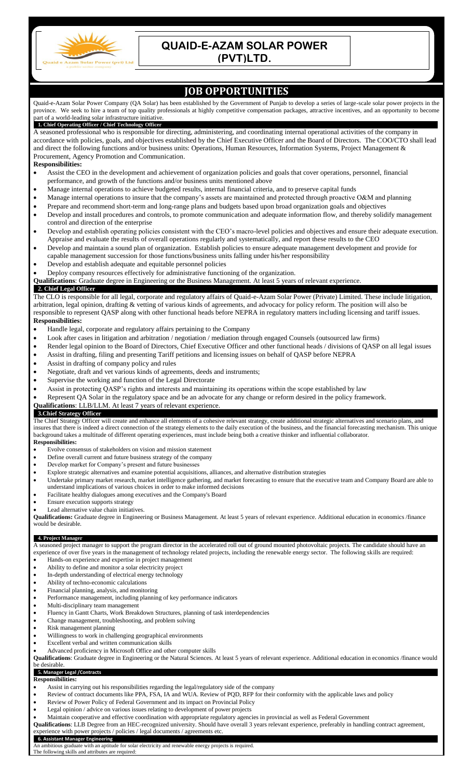

## **QUAID-E-AZAM SOLAR POWER (PVT)LTD.**

## **JOB OPPORTUNITIES** Quaid-e-Azam Solar Power Company (QA Solar) has been established by the Government of Punjab to develop a series of large-scale solar power projects in the

province. We seek to hire a team of top quality professionals at highly competitive compensation packages, attractive incentives, and an opportunity to become part of a world-leading solar infrastructure initiative. **1. Chief Operating Officer / Chief Technology Officer** A seasoned professional who is responsible for directing, administering, and coordinating internal operational activities of the company in accordance with policies, goals, and objectives established by the Chief Executive Officer and the Board of Directors. The COO/CTO shall lead and direct the following functions and/or business units: Operations, Human Resources, Information Systems, Project Management & Procurement, Agency Promotion and Communication. **Responsibilities:** Assist the CEO in the development and achievement of organization policies and goals that cover operations, personnel, financial performance, and growth of the functions and/or business units mentioned above Manage internal operations to achieve budgeted results, internal financial criteria, and to preserve capital funds Manage internal operations to insure that the company's assets are maintained and protected through proactive O&M and planning Prepare and recommend short-term and long-range plans and budgets based upon broad organization goals and objectives Develop and install procedures and controls, to promote communication and adequate information flow, and thereby solidify management control and direction of the enterprise Develop and establish operating policies consistent with the CEO's macro-level policies and objectives and ensure their adequate execution. Appraise and evaluate the results of overall operations regularly and systematically, and report these results to the CEO Develop and maintain a sound plan of organization. Establish policies to ensure adequate management development and provide for capable management succession for those functions/business units falling under his/her responsibility Develop and establish adequate and equitable personnel policies Deploy company resources effectively for administrative functioning of the organization. **Qualifications**: Graduate degree in Engineering or the Business Management. At least 5 years of relevant experience. **2. Chief Legal Officer** The CLO is responsible for all legal, corporate and regulatory affairs of Quaid-e-Azam Solar Power (Private) Limited. These include litigation, arbitration, legal opinion, drafting & vetting of various kinds of agreements, and advocacy for policy reform. The position will also be responsible to represent QASP along with other functional heads before NEPRA in regulatory matters including licensing and tariff issues. **Responsibilities:** Handle legal, corporate and regulatory affairs pertaining to the Company Look after cases in litigation and arbitration / negotiation / mediation through engaged Counsels (outsourced law firms) Render legal opinion to the Board of Directors, Chief Executive Officer and other functional heads / divisions of QASP on all legal issues Assist in drafting, filing and presenting Tariff petitions and licensing issues on behalf of QASP before NEPRA Assist in drafting of company policy and rules Negotiate, draft and vet various kinds of agreements, deeds and instruments; Supervise the working and function of the Legal Directorate Assist in protecting QASP's rights and interests and maintaining its operations within the scope established by law Represent QA Solar in the regulatory space and be an advocate for any change or reform desired in the policy framework. **Qualifications**: LLB/LLM. At least 7 years of relevant experience. **3.Chief Strategy Officer** The Chief Strategy Officer will create and enhance all elements of a cohesive relevant strategy, create additional strategic alternatives and scenario plans, and insures that there is indeed a direct connection of the strategy elements to the daily execution of the business, and the financial forecasting mechanism. This unique background takes a multitude of different operating experiences, must include being both a creative thinker and influential collaborator. **Responsibilities:** Evolve consensus of stakeholders on vision and mission statement Define overall current and future business strategy of the company Develop market for Company's present and future businesses Explore strategic alternatives and examine potential acquisitions, alliances, and alternative distribution strategies Undertake primary market research, market intelligence gathering, and market forecasting to ensure that the executive team and Company Board are able to understand implications of various choices in order to make informed decisions Facilitate healthy dialogues among executives and the Company's Board Ensure execution supports strategy Lead alternative value chain initiatives. **Qualifications:** Graduate degree in Engineering or Business Management. At least 5 years of relevant experience. Additional education in economics /finance would be desirable. **4. Project Manager** A seasoned project manager to support the program director in the accelerated roll out of ground mounted photovoltaic projects. The candidate should have an experience of over five years in the management of technology related projects, including the renewable energy sector. The following skills are required:

- Hands-on experience and expertise in project management
- Ability to define and monitor a solar electricity project
- In-depth understanding of electrical energy technology
- Ability of techno-economic calculations
- Financial planning, analysis, and monitoring
- Performance management, including planning of key performance indicators
- Multi-disciplinary team management
- Fluency in Gantt Charts, Work Breakdown Structures, planning of task interdependencies
- Change management, troubleshooting, and problem solving
- Risk management planning
- Willingness to work in challenging geographical environments
- Excellent verbal and written communication skills
- Advanced proficiency in Microsoft Office and other computer skills

**Qualifications**: Graduate degree in Engineering or the Natural Sciences. At least 5 years of relevant experience. Additional education in economics /finance would e desirable

## **5. Manager Legal /Contracts**

- **Responsibilities:**
- Assist in carrying out his responsibilities regarding the legal/regulatory side of the company
- Review of contract documents like PPA, FSA, IA and WUA. Review of PQD, RFP for their conformity with the applicable laws and policy
- Review of Power Policy of Federal Government and its impact on Provincial Policy
- Legal opinion / advice on various issues relating to development of power projects
- Maintain cooperative and effective coordination with appropriate regulatory agencies in provincial as well as Federal Government
- **Qualifications**: LLB Degree from an HEC-recognized university. Should have overall 3 years relevant experience, preferably in handling contract agreement, experience with power projects / policies / legal documents / agreements etc.

## **6. Assistant Manager Engineering**

mbitious graduate with an aptitude for solar electricity and renewable energy projects is required.

The following skills and attributes are required: